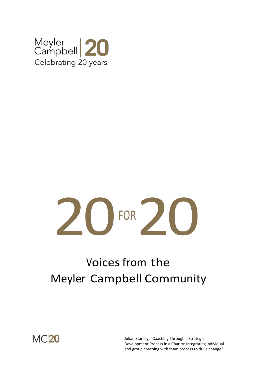

# $\overline{\phantom{a}}$ FOR 20

# Voices from the Meyler Campbell Community

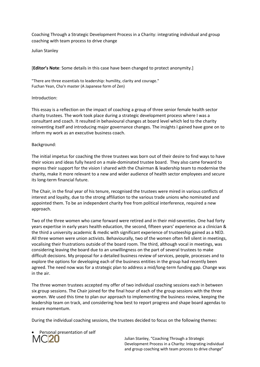Coaching Through a Strategic Development Process in a Charity: integrating individual and group coaching with team process to drive change

Julian Stanley

[**Editor's Note**: Some details in this case have been changed to protect anonymity.]

"There are three essentials to leadership: humility, clarity and courage." Fuchan Yean, Cha'n master (A Japanese form of Zen)

#### Introduction:

This essay is a reflection on the impact of coaching a group of three senior female health sector charity trustees. The work took place during a strategic development process where I was a consultant and coach. It resulted in behavioural changes at board level which led to the charity reinventing itself and introducing major governance changes. The insights I gained have gone on to inform my work as an executive business coach.

## Background:

The initial impetus for coaching the three trustees was born out of their desire to find ways to have their voices and ideas fully heard on a male-dominated trustee board. They also came forward to express their support for the vision I shared with the Chairman & leadership team to modernise the charity, make it more relevant to a new and wider audience of health sector employees and secure its long-term financial future.

The Chair, in the final year of his tenure, recognised the trustees were mired in various conflicts of interest and loyalty, due to the strong affiliation to the various trade unions who nominated and appointed them. To be an independent charity free from political interference, required a new approach.

Two of the three women who came forward were retired and in their mid-seventies. One had forty years expertise in early years health education, the second, fifteen years' experience as a clinician & the third a university academic & medic with significant experience of trusteeship gained as a NED. All three women were union activists. Behaviourally, two of the women often fell silent in meetings, vocalising their frustrations outside of the board room. The third, although vocal in meetings, was considering leaving the board due to an unwillingness on the part of several trustees to make difficult decisions. My proposal for a detailed business review of services, people, processes and to explore the options for developing each of the business entities in the group had recently been agreed. The need now was for a strategic plan to address a mid/long-term funding gap. Change was in the air.

The three women trustees accepted my offer of two individual coaching sessions each in between six group sessions. The Chair joined for the final hour of each of the group sessions with the three women. We used this time to plan our approach to implementing the business review, keeping the leadership team on track, and considering how best to report progress and shape board agendas to ensure momentum.

During the individual coaching sessions, the trustees decided to focus on the following themes:

Personal presentation of self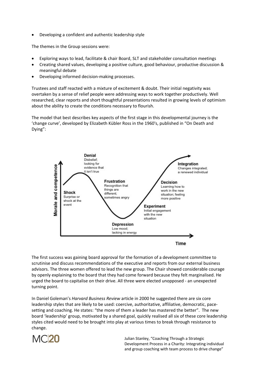• Developing a confident and authentic leadership style

The themes in the Group sessions were:

- Exploring ways to lead, facilitate & chair Board, SLT and stakeholder consultation meetings
- Creating shared values, developing a positive culture, good behaviour, productive discussion & meaningful debate
- Developing informed decision-making processes.

Trustees and staff reacted with a mixture of excitement & doubt. Their initial negativity was overtaken by a sense of relief people were addressing ways to work together productively. Well researched, clear reports and short thoughtful presentations resulted in growing levels of optimism about the ability to create the conditions necessary to flourish.

The model that best describes key aspects of the first stage in this developmental journey is the 'change curve', developed by Elizabeth Kübler Ross in the 1960's, published in "On Death and Dying":



The first success was gaining board approval for the formation of a development committee to scrutinise and discuss recommendations of the executive and reports from our external business advisors. The three women offered to lead the new group. The Chair showed considerable courage by openly explaining to the board that they had come forward because they felt marginalised. He urged the board to capitalise on their drive. All three were elected unopposed - an unexpected turning point.

In Daniel Goleman's *Harvard Business Review* article in 2000 he suggested there are six core leadership styles that are likely to be used: coercive, authoritative, affiliative, democratic, pacesetting and coaching. He states: "the more of them a leader has mastered the better". The new board 'leadership' group, motivated by a shared goal, quickly realised all six of these core leadership styles cited would need to be brought into play at various times to break through resistance to change.

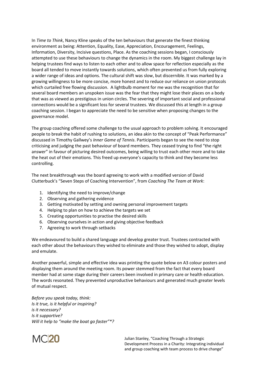In *Time to Think*, Nancy Kline speaks of the ten behaviours that generate the finest thinking environment as being: Attention, Equality, Ease, Appreciation, Encouragement, Feelings, Information, Diversity, Incisive questions, Place. As the coaching sessions began, I consciously attempted to use these behaviours to change the dynamics in the room. My biggest challenge lay in helping trustees find ways to listen to each other and to allow space for reflection especially as the board all tended to move instantly towards solutions, which often prevented us from fully exploring a wider range of ideas and options. The cultural shift was slow, but discernible. It was marked by a growing willingness to be more concise, more honest and to reduce our reliance on union protocols which curtailed free flowing discussion. A lightbulb moment for me was the recognition that for several board members an unspoken issue was the fear that they might lose their places on a body that was as viewed as prestigious in union circles. The severing of important social and professional connections would be a significant loss for several trustees. We discussed this at length in a group coaching session. I began to appreciate the need to be sensitive when proposing changes to the governance model.

The group coaching offered some challenge to the usual approach to problem solving. It encouraged people to break the habit of rushing to solutions, an idea akin to the concept of "Peak Performance" discussed in Timothy Gallwey's *Inner Game of Tennis*. Participants began to see the need to stop criticising and judging the past behaviour of board members. They ceased trying to find "the right answer" in favour of picturing desired outcomes, being willing to trust each other more and to take the heat out of their emotions. This freed up everyone's capacity to think and they become less controlling.

The next breakthrough was the board agreeing to work with a modified version of David Clutterbuck's "Seven Steps of Coaching Intervention", from *Coaching The Team at Work*:

- 1. Identifying the need to improve/change
- 2. Observing and gathering evidence
- 3. Getting motivated by setting and owning personal improvement targets
- 4. Helping to plan on how to achieve the targets we set
- 5. Creating opportunities to practise the desired skills
- 6. Observing ourselves in action and giving objective feedback
- 7. Agreeing to work through setbacks

We endeavoured to build a shared language and develop greater trust. Trustees contracted with each other about the behaviours they wished to eliminate and those they wished to adopt, display and emulate.

Another powerful, simple and effective idea was printing the quote below on A3 colour posters and displaying them around the meeting room. Its power stemmed from the fact that every board member had at some stage during their careers been involved in primary care or health education. The words resonated. They prevented unproductive behaviours and generated much greater levels of mutual respect.

*Before you speak today, think: Is it true, is it helpful or inspiring? is it necessary? Is it supportive? Will it help to "make the boat go faster"\*?* 

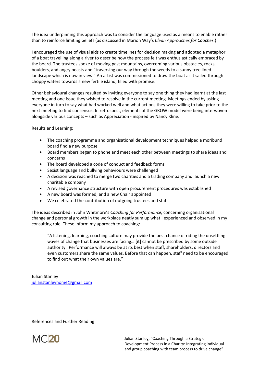The idea underpinning this approach was to consider the language used as a means to enable rather than to reinforce limiting beliefs (as discussed in Marion Way's *Clean Approaches for Coaches.*)

I encouraged the use of visual aids to create timelines for decision making and adopted a metaphor of a boat travelling along a river to describe how the process felt was enthusiastically embraced by the board. The trustees spoke of moving past mountains, overcoming various obstacles, rocks, boulders, and angry beasts and "traversing our way through the weeds to a sunny tree lined landscape which is now in view." An artist was commissioned to draw the boat as it sailed through choppy waters towards a new fertile island, filled with promise.

Other behavioural changes resulted by inviting everyone to say one thing they had learnt at the last meeting and one issue they wished to resolve in the current meeting. Meetings ended by asking everyone in turn to say what had worked well and what actions they were willing to take prior to the next meeting to find consensus. In retrospect, elements of the GROW model were being interwoven alongside various concepts – such as Appreciation - inspired by Nancy Kline.

Results and Learning:

- The coaching programme and organisational development techniques helped a moribund board find a new purpose
- Board members began to phone and meet each other between meetings to share ideas and concerns
- The board developed a code of conduct and feedback forms
- Sexist language and bullying behaviours were challenged
- A decision was reached to merge two charities and a trading company and launch a new charitable company
- A revised governance structure with open procurement procedures was established
- A new board was formed, and a new Chair appointed
- We celebrated the contribution of outgoing trustees and staff

The ideas described in John Whitmore's *Coaching for Performance*, concerning organisational change and personal growth in the workplace neatly sum up what I experienced and observed in my consulting role. These inform my approach to coaching:

"A listening, learning, coaching culture may provide the best chance of riding the unsettling waves of change that businesses are facing… [it] cannot be prescribed by some outside authority. Performance will always be at its best when staff, shareholders, directors and even customers share the same values. Before that can happen, staff need to be encouraged to find out what their own values are."

Julian Stanley julianstanleyhome@gmail.com

References and Further Reading